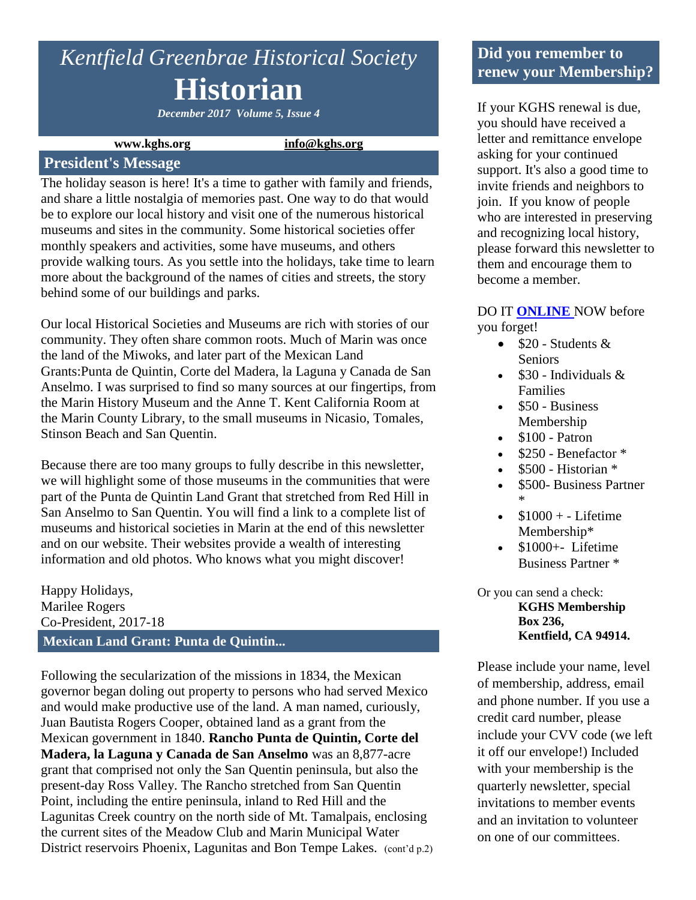# *Kentfield Greenbrae Historical Society* **Historian**

*December 2017 Volume 5, Issue 4*

#### **www.kghs.org [info@kghs.org](mailto:info@kghs.org)**

#### **President's Message**

The holiday season is here! It's a time to gather with family and friends, and share a little nostalgia of memories past. One way to do that would be to explore our local history and visit one of the numerous historical museums and sites in the community. Some historical societies offer monthly speakers and activities, some have museums, and others provide walking tours. As you settle into the holidays, take time to learn more about the background of the names of cities and streets, the story behind some of our buildings and parks.

Our local Historical Societies and Museums are rich with stories of our community. They often share common roots. Much of Marin was once the land of the Miwoks, and later part of the Mexican Land Grants:Punta de Quintin, Corte del Madera, la Laguna y Canada de San Anselmo. I was surprised to find so many sources at our fingertips, from the Marin History Museum and the Anne T. Kent California Room at the Marin County Library, to the small museums in Nicasio, Tomales, Stinson Beach and San Quentin.

Because there are too many groups to fully describe in this newsletter, we will highlight some of those museums in the communities that were part of the Punta de Quintin Land Grant that stretched from Red Hill in San Anselmo to San Quentin. You will find a link to a complete list of museums and historical societies in Marin at the end of this newsletter and on our website. Their websites provide a wealth of interesting information and old photos. Who knows what you might discover!

Happy Holidays, Marilee Rogers Co-President, 2017-18 **Mexican Land Grant: Punta de Quintin...** 

Following the secularization of the missions in 1834, the Mexican governor began doling out property to persons who had served Mexico and would make productive use of the land. A man named, curiously, Juan Bautista Rogers Cooper, obtained land as a grant from the Mexican government in 1840. **Rancho Punta de Quintin, Corte del Madera, la Laguna y Canada de San Anselmo** was an 8,877-acre grant that comprised not only the San Quentin peninsula, but also the present-day Ross Valley. The Rancho stretched from San Quentin Point, including the entire peninsula, inland to Red Hill and the Lagunitas Creek country on the north side of Mt. Tamalpais, enclosing the current sites of the Meadow Club and Marin Municipal Water District reservoirs Phoenix, Lagunitas and Bon Tempe Lakes. (cont'd p.2)

#### **Did you remember to renew your Membership?**

If your KGHS renewal is due, you should have received a letter and remittance envelope asking for your continued support. It's also a good time to invite friends and neighbors to join. If you know of people who are interested in preserving and recognizing local history, please forward this newsletter to them and encourage them to become a member.

DO IT **[ONLINE](http://www.kghs.org/)** NOW before you forget!

- $\bullet$  \$20 Students & Seniors
- $\cdot$  \$30 Individuals & Families
- $\bullet$  \$50 Business Membership
- $\bullet$  \$100 Patron
- \$250 Benefactor \*
- $\bullet$  \$500 Historian  $*$
- \$500- Business Partner \*
- $$1000 + Lifetime$ Membership\*
- $\bullet$  \$1000+- Lifetime Business Partner \*

Or you can send a check: **KGHS Membership Box 236, Kentfield, CA 94914.** 

Please include your name, level of membership, address, email and phone number. If you use a credit card number, please include your CVV code (we left it off our envelope!) Included with your membership is the quarterly newsletter, special invitations to member events and an invitation to volunteer on one of our committees.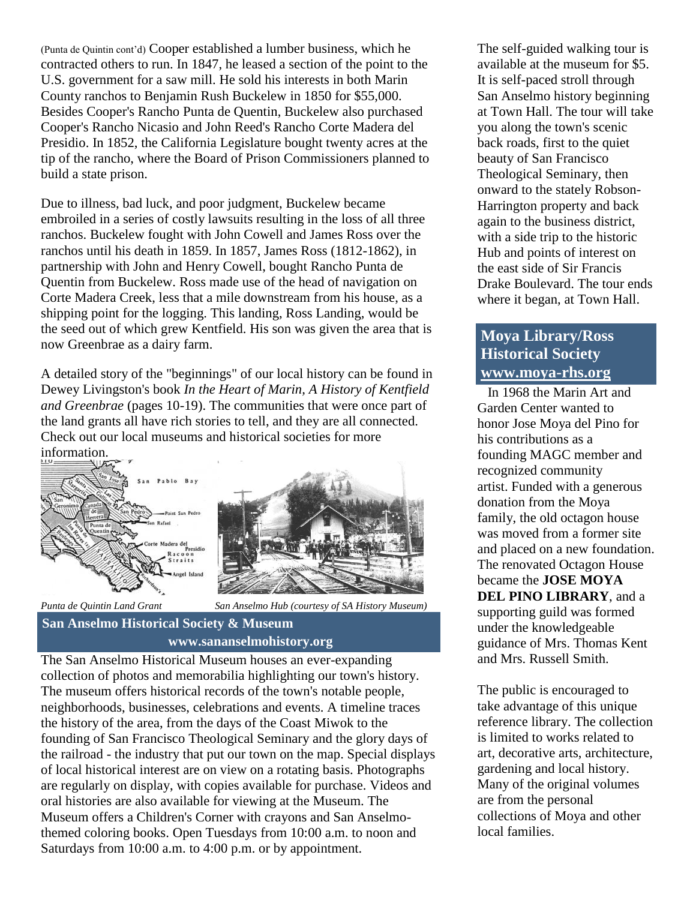(Punta de Quintin cont'd) Cooper established a lumber business, which he contracted others to run. In 1847, he leased a section of the point to the U.S. government for a saw mill. He sold his interests in both Marin County ranchos to Benjamin Rush Buckelew in 1850 for \$55,000. Besides Cooper's Rancho Punta de Quentin, Buckelew also purchased Cooper's Rancho Nicasio and John Reed's Rancho Corte Madera del Presidio. In 1852, the California Legislature bought twenty acres at the tip of the rancho, where the Board of Prison Commissioners planned to build a state prison.

Due to illness, bad luck, and poor judgment, Buckelew became embroiled in a series of costly lawsuits resulting in the loss of all three ranchos. Buckelew fought with John Cowell and James Ross over the ranchos until his death in 1859. In 1857, James Ross (1812-1862), in partnership with John and Henry Cowell, bought Rancho Punta de Quentin from Buckelew. Ross made use of the head of navigation on Corte Madera Creek, less that a mile downstream from his house, as a shipping point for the logging. This landing, Ross Landing, would be the seed out of which grew Kentfield. His son was given the area that is now Greenbrae as a dairy farm.

A detailed story of the "beginnings" of our local history can be found in Dewey Livingston's book *In the Heart of Marin, A History of Kentfield and Greenbrae* (pages 10-19). The communities that were once part of the land grants all have rich stories to tell, and they are all connected. Check out our local museums and historical societies for more information.



*Punta de Quintin Land Grant San Anselmo Hub (courtesy of SA History Museum)*

#### **San Anselmo Historical Society & Museum** **www.sananselmohistory.org**

The San Anselmo Historical Museum houses an ever-expanding collection of photos and memorabilia highlighting our town's history. The museum offers historical records of the town's notable people, neighborhoods, businesses, celebrations and events. A timeline traces the history of the area, from the days of the Coast Miwok to the founding of San Francisco Theological Seminary and the glory days of the railroad - the industry that put our town on the map. Special displays of local historical interest are on view on a rotating basis. Photographs are regularly on display, with copies available for purchase. Videos and oral histories are also available for viewing at the Museum. The Museum offers a Children's Corner with crayons and San Anselmothemed coloring books. Open Tuesdays from 10:00 a.m. to noon and Saturdays from 10:00 a.m. to 4:00 p.m. or by appointment.

The self-guided walking tour is available at the museum for \$5. It is self-paced stroll through San Anselmo history beginning at Town Hall. The tour will take you along the town's scenic back roads, first to the quiet beauty of San Francisco Theological Seminary, then onward to the stately Robson-Harrington property and back again to the business district, with a side trip to the historic Hub and points of interest on the east side of Sir Francis Drake Boulevard. The tour ends where it began, at Town Hall.

# **Moya Library/Ross Historical Society [www.moya-rhs.org](http://r20.rs6.net/tn.jsp?t=r4pea68ab.0.0.hur49nsab.0&id=preview&r=3&p=http%3A%2F%2Fwww.moya-rhs.org%2F)**

 In 1968 the Marin Art and Garden Center wanted to honor Jose Moya del Pino for his contributions as a founding MAGC member and recognized community artist. Funded with a generous donation from the Moya family, the old octagon house was moved from a former site and placed on a new foundation. The renovated Octagon House became the **JOSE MOYA DEL PINO LIBRARY**, and a supporting guild was formed under the knowledgeable guidance of Mrs. Thomas Kent and Mrs. Russell Smith.

The public is encouraged to take advantage of this unique reference library. The collection is limited to works related to art, decorative arts, architecture, gardening and local history. Many of the original volumes are from the personal collections of Moya and other local families.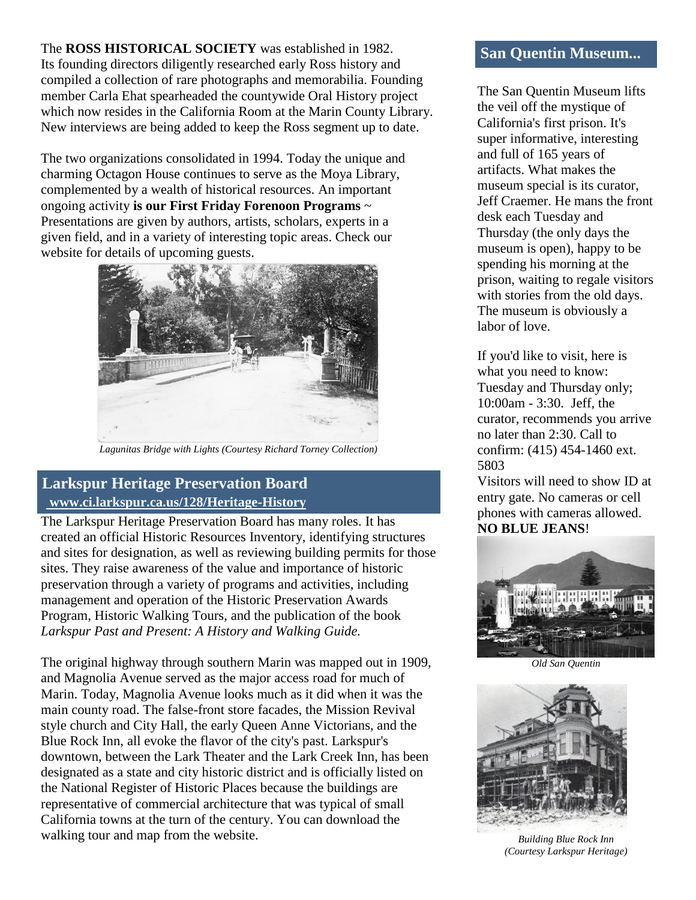The **ROSS HISTORICAL SOCIETY** was established in 1982. Its founding directors diligently researched early Ross history and compiled a collection of rare photographs and memorabilia. Founding member Carla Ehat spearheaded the countywide Oral History project which now resides in the California Room at the Marin County Library. New interviews are being added to keep the Ross segment up to date.

The two organizations consolidated in 1994. Today the unique and charming Octagon House continues to serve as the Moya Library, complemented by a wealth of historical resources. An important ongoing activity **is our First Friday Forenoon Programs** ~ Presentations are given by authors, artists, scholars, experts in a given field, and in a variety of interesting topic areas. Check our website for details of upcoming guests.



*Lagunitas Bridge with Lights (Courtesy Richard Torney Collection)*

# **Larkspur Heritage Preservation Board [www.ci.larkspur.ca.us/128/Heritage-History](http://r20.rs6.net/tn.jsp?t=r4pea68ab.0.0.hur49nsab.0&id=preview&r=3&p=http%3A%2F%2Fwww.ci.larkspur.ca.us%2F128%2FHeritage-History)**

The Larkspur Heritage Preservation Board has many roles. It has created an official Historic Resources Inventory, identifying structures and sites for designation, as well as reviewing building permits for those sites. They raise awareness of the value and importance of historic preservation through a variety of programs and activities, including management and operation of the Historic Preservation Awards Program, Historic Walking Tours, and the publication of the book *Larkspur Past and Present: A History and Walking Guide.*

The original highway through southern Marin was mapped out in 1909, and Magnolia Avenue served as the major access road for much of Marin. Today, Magnolia Avenue looks much as it did when it was the main county road. The false-front store facades, the Mission Revival style church and City Hall, the early Queen Anne Victorians, and the Blue Rock Inn, all evoke the flavor of the city's past. Larkspur's downtown, between the Lark Theater and the Lark Creek Inn, has been designated as a state and city historic district and is officially listed on the National Register of Historic Places because the buildings are representative of commercial architecture that was typical of small California towns at the turn of the century. You can download the walking tour and map from the website.

### **San Quentin Museum...**

The San Quentin Museum lifts the veil off the mystique of California's first prison. It's super informative, interesting and full of 165 years of artifacts. What makes the museum special is its curator, Jeff Craemer. He mans the front desk each Tuesday and Thursday (the only days the museum is open), happy to be spending his morning at the prison, waiting to regale visitors with stories from the old days. The museum is obviously a labor of love.

If you'd like to visit, here is what you need to know: Tuesday and Thursday only; 10:00am - 3:30. Jeff, the curator, recommends you arrive no later than 2:30. Call to confirm: (415) 454-1460 ext. 5803

Visitors will need to show ID at entry gate. No cameras or cell phones with cameras allowed. **NO BLUE JEANS**!



*Old San Quentin*



*Building Blue Rock Inn (Courtesy Larkspur Heritage)*